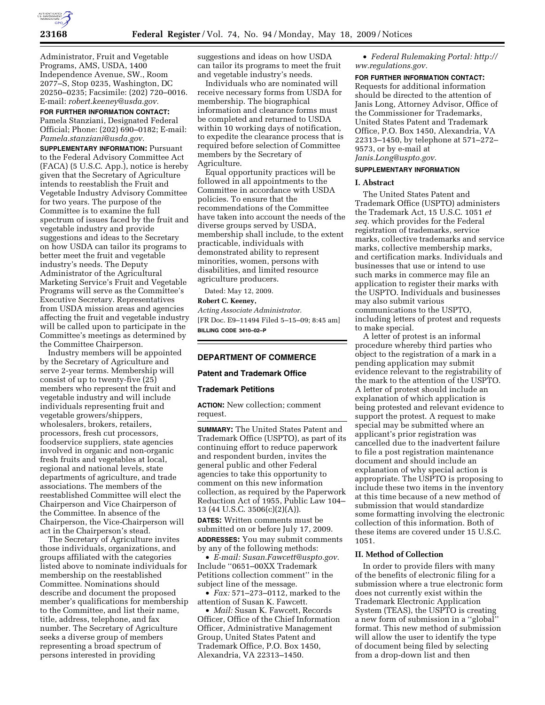

Administrator, Fruit and Vegetable Programs, AMS, USDA, 1400 Independence Avenue, SW., Room 2077–S, Stop 0235, Washington, DC 20250–0235; Facsimile: (202) 720–0016. E-mail: *robert.keeney@usda.gov.* 

**FOR FURTHER INFORMATION CONTACT:**  Pamela Stanziani, Designated Federal Official; Phone: (202) 690–0182; E-mail: *Pamela.stanziani@usda.gov.* 

**SUPPLEMENTARY INFORMATION:** Pursuant to the Federal Advisory Committee Act (FACA) (5 U.S.C. App.), notice is hereby given that the Secretary of Agriculture intends to reestablish the Fruit and Vegetable Industry Advisory Committee for two years. The purpose of the Committee is to examine the full spectrum of issues faced by the fruit and vegetable industry and provide suggestions and ideas to the Secretary on how USDA can tailor its programs to better meet the fruit and vegetable industry's needs. The Deputy Administrator of the Agricultural Marketing Service's Fruit and Vegetable Programs will serve as the Committee's Executive Secretary. Representatives from USDA mission areas and agencies affecting the fruit and vegetable industry will be called upon to participate in the Committee's meetings as determined by the Committee Chairperson.

Industry members will be appointed by the Secretary of Agriculture and serve 2-year terms. Membership will consist of up to twenty-five (25) members who represent the fruit and vegetable industry and will include individuals representing fruit and vegetable growers/shippers, wholesalers, brokers, retailers, processors, fresh cut processors, foodservice suppliers, state agencies involved in organic and non-organic fresh fruits and vegetables at local, regional and national levels, state departments of agriculture, and trade associations. The members of the reestablished Committee will elect the Chairperson and Vice Chairperson of the Committee. In absence of the Chairperson, the Vice-Chairperson will act in the Chairperson's stead.

The Secretary of Agriculture invites those individuals, organizations, and groups affiliated with the categories listed above to nominate individuals for membership on the reestablished Committee. Nominations should describe and document the proposed member's qualifications for membership to the Committee, and list their name, title, address, telephone, and fax number. The Secretary of Agriculture seeks a diverse group of members representing a broad spectrum of persons interested in providing

suggestions and ideas on how USDA can tailor its programs to meet the fruit and vegetable industry's needs.

Individuals who are nominated will receive necessary forms from USDA for membership. The biographical information and clearance forms must be completed and returned to USDA within 10 working days of notification, to expedite the clearance process that is required before selection of Committee members by the Secretary of Agriculture.

Equal opportunity practices will be followed in all appointments to the Committee in accordance with USDA policies. To ensure that the recommendations of the Committee have taken into account the needs of the diverse groups served by USDA, membership shall include, to the extent practicable, individuals with demonstrated ability to represent minorities, women, persons with disabilities, and limited resource agriculture producers.

Dated: May 12, 2009.

#### **Robert C. Keeney,**

*Acting Associate Administrator.*  [FR Doc. E9–11494 Filed 5–15–09; 8:45 am] **BILLING CODE 3410–02–P** 

# **DEPARTMENT OF COMMERCE**

# **Patent and Trademark Office**

## **Trademark Petitions**

**ACTION:** New collection; comment request.

**SUMMARY:** The United States Patent and Trademark Office (USPTO), as part of its continuing effort to reduce paperwork and respondent burden, invites the general public and other Federal agencies to take this opportunity to comment on this new information collection, as required by the Paperwork Reduction Act of 1955, Public Law 104– 13 (44 U.S.C. 3506(c)(2)(A)).

**DATES:** Written comments must be submitted on or before July 17, 2009. **ADDRESSES:** You may submit comments by any of the following methods:

• *E-mail: Susan.Fawcett@uspto.gov.*  Include ''0651–00XX Trademark Petitions collection comment'' in the subject line of the message.

• *Fax:* 571–273–0112, marked to the attention of Susan K. Fawcett.

• *Mail:* Susan K. Fawcett, Records Officer, Office of the Chief Information Officer, Administrative Management Group, United States Patent and Trademark Office, P.O. Box 1450, Alexandria, VA 22313–1450.

• *Federal Rulemaking Portal: http:// ww.regulations.gov.* 

#### **FOR FURTHER INFORMATION CONTACT:**

Requests for additional information should be directed to the attention of Janis Long, Attorney Advisor, Office of the Commissioner for Trademarks, United States Patent and Trademark Office, P.O. Box 1450, Alexandria, VA 22313–1450, by telephone at 571–272– 9573, or by e-mail at *Janis.Long@uspto.gov.* 

# **SUPPLEMENTARY INFORMATION**

# **I. Abstract**

The United States Patent and Trademark Office (USPTO) administers the Trademark Act, 15 U.S.C. 1051 *et seq.* which provides for the Federal registration of trademarks, service marks, collective trademarks and service marks, collective membership marks, and certification marks. Individuals and businesses that use or intend to use such marks in commerce may file an application to register their marks with the USPTO. Individuals and businesses may also submit various communications to the USPTO, including letters of protest and requests to make special.

A letter of protest is an informal procedure whereby third parties who object to the registration of a mark in a pending application may submit evidence relevant to the registrability of the mark to the attention of the USPTO. A letter of protest should include an explanation of which application is being protested and relevant evidence to support the protest. A request to make special may be submitted where an applicant's prior registration was cancelled due to the inadvertent failure to file a post registration maintenance document and should include an explanation of why special action is appropriate. The USPTO is proposing to include these two items in the inventory at this time because of a new method of submission that would standardize some formatting involving the electronic collection of this information. Both of these items are covered under 15 U.S.C. 1051.

## **II. Method of Collection**

In order to provide filers with many of the benefits of electronic filing for a submission where a true electronic form does not currently exist within the Trademark Electronic Application System (TEAS), the USPTO is creating a new form of submission in a ''global'' format. This new method of submission will allow the user to identify the type of document being filed by selecting from a drop-down list and then